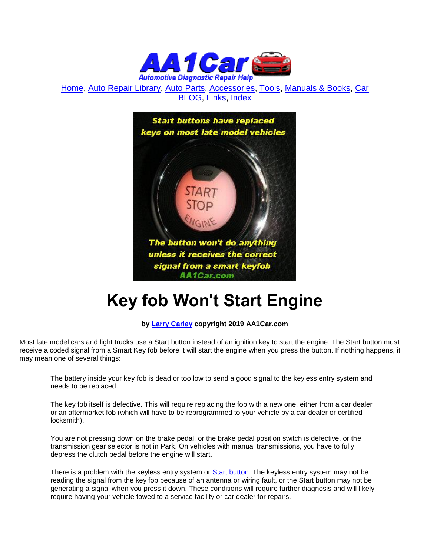

[Home,](http://www.aa1car.com/) [Auto Repair Library,](http://www.aa1car.com/library.htm) [Auto Parts,](http://www.aa1car.com/links_parts.htm) [Accessories,](http://www.aa1car.com/links_accessories.htm) [Tools,](http://www.aa1car.com/links_tools.htm) [Manuals & Books,](http://www.aa1car.com/links_books.htm) [Car](http://www.aa1car.com/blog/blog.htm)  [BLOG,](http://www.aa1car.com/blog/blog.htm) [Links,](http://www.aa1car.com/links.htm) [Index](http://www.aa1car.com/index_alphabetical.htm)



## **Key fob Won't Start Engine**

## **by [Larry Carley](https://www.aa1car.com/larrypage/larrycarley_photos.htm) copyright 2019 AA1Car.com**

Most late model cars and light trucks use a Start button instead of an ignition key to start the engine. The Start button must receive a coded signal from a Smart Key fob before it will start the engine when you press the button. If nothing happens, it may mean one of several things:

The battery inside your key fob is dead or too low to send a good signal to the keyless entry system and needs to be replaced.

The key fob itself is defective. This will require replacing the fob with a new one, either from a car dealer or an aftermarket fob (which will have to be reprogrammed to your vehicle by a car dealer or certified locksmith).

You are not pressing down on the brake pedal, or the brake pedal position switch is defective, or the transmission gear selector is not in Park. On vehicles with manual transmissions, you have to fully depress the clutch pedal before the engine will start.

There is a problem with the keyless entry system or [Start button.](http://www.aa1car.com/library/push_button_start_system.htm) The keyless entry system may not be reading the signal from the key fob because of an antenna or wiring fault, or the Start button may not be generating a signal when you press it down. These conditions will require further diagnosis and will likely require having your vehicle towed to a service facility or car dealer for repairs.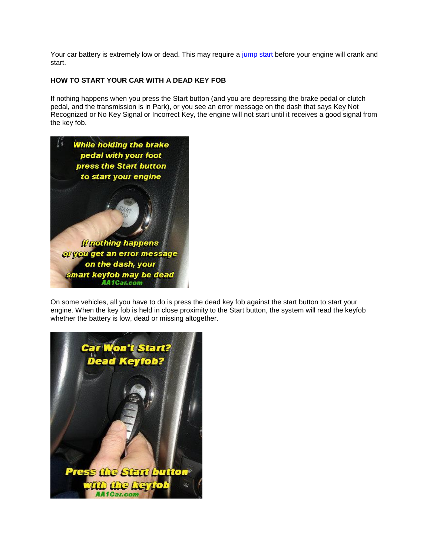Your car battery is extremely low or dead. This may require a [jump start](http://www.aa1car.com/library/battery_safety.htm) before your engine will crank and start.

## **HOW TO START YOUR CAR WITH A DEAD KEY FOB**

If nothing happens when you press the Start button (and you are depressing the brake pedal or clutch pedal, and the transmission is in Park), or you see an error message on the dash that says Key Not Recognized or No Key Signal or Incorrect Key, the engine will not start until it receives a good signal from the key fob.



On some vehicles, all you have to do is press the dead key fob against the start button to start your engine. When the key fob is held in close proximity to the Start button, the system will read the keyfob whether the battery is low, dead or missing altogether.

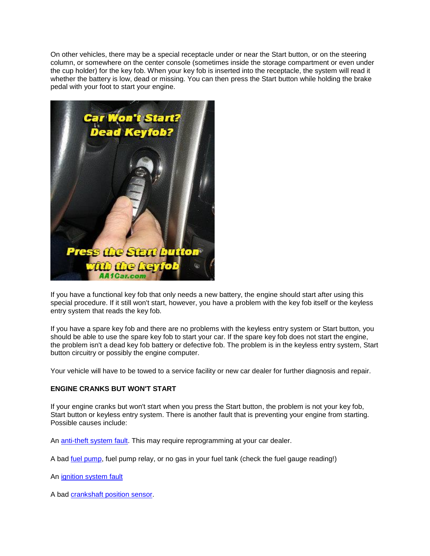On other vehicles, there may be a special receptacle under or near the Start button, or on the steering column, or somewhere on the center console (sometimes inside the storage compartment or even under the cup holder) for the key fob. When your key fob is inserted into the receptacle, the system will read it whether the battery is low, dead or missing. You can then press the Start button while holding the brake pedal with your foot to start your engine.



If you have a functional key fob that only needs a new battery, the engine should start after using this special procedure. If it still won't start, however, you have a problem with the key fob itself or the keyless entry system that reads the key fob.

If you have a spare key fob and there are no problems with the keyless entry system or Start button, you should be able to use the spare key fob to start your car. If the spare key fob does not start the engine, the problem isn't a dead key fob battery or defective fob. The problem is in the keyless entry system, Start button circuitry or possibly the engine computer.

Your vehicle will have to be towed to a service facility or new car dealer for further diagnosis and repair.

## **ENGINE CRANKS BUT WON'T START**

If your engine cranks but won't start when you press the Start button, the problem is not your key fob, Start button or keyless entry system. There is another fault that is preventing your engine from starting. Possible causes include:

An [anti-theft system fault.](http://www.aa1car.com/library/troubleshoot_antitheft_system.htm) This may require reprogramming at your car dealer.

A bad *fuel pump*, fuel pump relay, or no gas in your fuel tank (check the fuel gauge reading!)

An [ignition system fault](http://www.aa1car.com/library/ignition_switch.htm)

A bad [crankshaft position sensor.](http://www.aa1car.com/library/crank_sensors.htm)